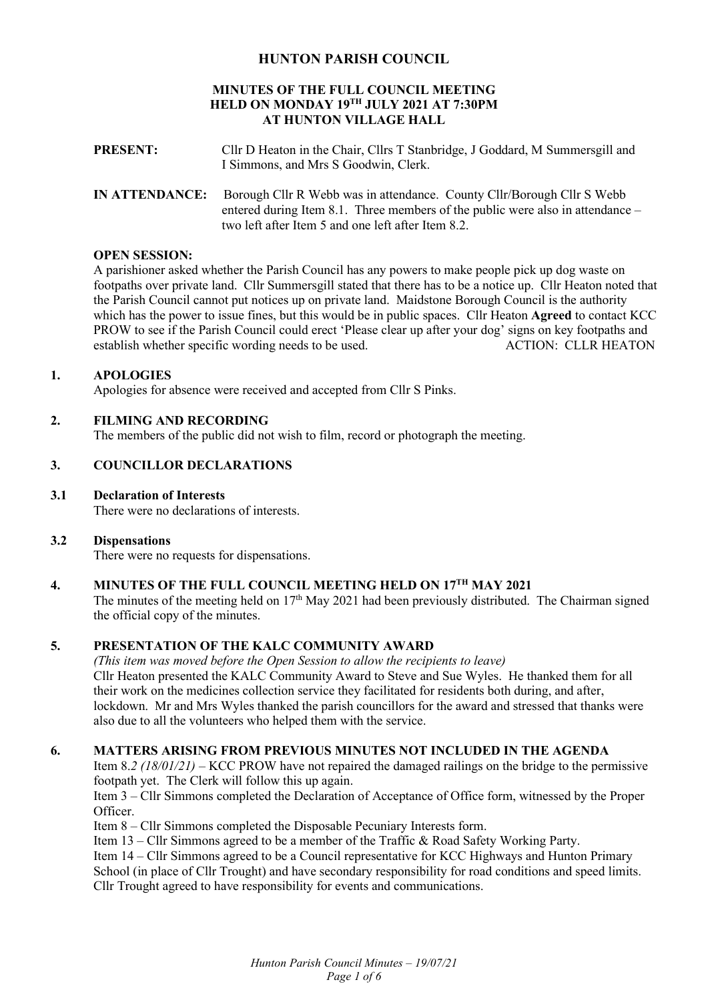## **HUNTON PARISH COUNCIL**

#### **MINUTES OF THE FULL COUNCIL MEETING HELD ON MONDAY 19TH JULY 2021 AT 7:30PM AT HUNTON VILLAGE HALL**

- **PRESENT:** Cllr D Heaton in the Chair, Cllrs T Stanbridge, J Goddard, M Summersgill and I Simmons, and Mrs S Goodwin, Clerk.
- **IN ATTENDANCE:** Borough Cllr R Webb was in attendance. County Cllr/Borough Cllr S Webb entered during Item 8.1. Three members of the public were also in attendance – two left after Item 5 and one left after Item 8.2.

## **OPEN SESSION:**

A parishioner asked whether the Parish Council has any powers to make people pick up dog waste on footpaths over private land. Cllr Summersgill stated that there has to be a notice up. Cllr Heaton noted that the Parish Council cannot put notices up on private land. Maidstone Borough Council is the authority which has the power to issue fines, but this would be in public spaces. Cllr Heaton **Agreed** to contact KCC PROW to see if the Parish Council could erect 'Please clear up after your dog' signs on key footpaths and establish whether specific wording needs to be used.

## **1. APOLOGIES**

Apologies for absence were received and accepted from Cllr S Pinks.

## **2. FILMING AND RECORDING**

The members of the public did not wish to film, record or photograph the meeting.

# **3. COUNCILLOR DECLARATIONS**

### **3.1 Declaration of Interests**

There were no declarations of interests.

#### **3.2 Dispensations**

There were no requests for dispensations.

## **4. MINUTES OF THE FULL COUNCIL MEETING HELD ON 17TH MAY 2021**

The minutes of the meeting held on 17<sup>th</sup> May 2021 had been previously distributed. The Chairman signed the official copy of the minutes.

## **5. PRESENTATION OF THE KALC COMMUNITY AWARD**

*(This item was moved before the Open Session to allow the recipients to leave)*  Cllr Heaton presented the KALC Community Award to Steve and Sue Wyles. He thanked them for all their work on the medicines collection service they facilitated for residents both during, and after, lockdown. Mr and Mrs Wyles thanked the parish councillors for the award and stressed that thanks were also due to all the volunteers who helped them with the service.

#### **6. MATTERS ARISING FROM PREVIOUS MINUTES NOT INCLUDED IN THE AGENDA**

Item 8.*2 (18/01/21)* – KCC PROW have not repaired the damaged railings on the bridge to the permissive footpath yet. The Clerk will follow this up again.

Item 3 – Cllr Simmons completed the Declaration of Acceptance of Office form, witnessed by the Proper Officer.

Item 8 – Cllr Simmons completed the Disposable Pecuniary Interests form.

Item 13 – Cllr Simmons agreed to be a member of the Traffic & Road Safety Working Party.

Item 14 – Cllr Simmons agreed to be a Council representative for KCC Highways and Hunton Primary School (in place of Cllr Trought) and have secondary responsibility for road conditions and speed limits. Cllr Trought agreed to have responsibility for events and communications.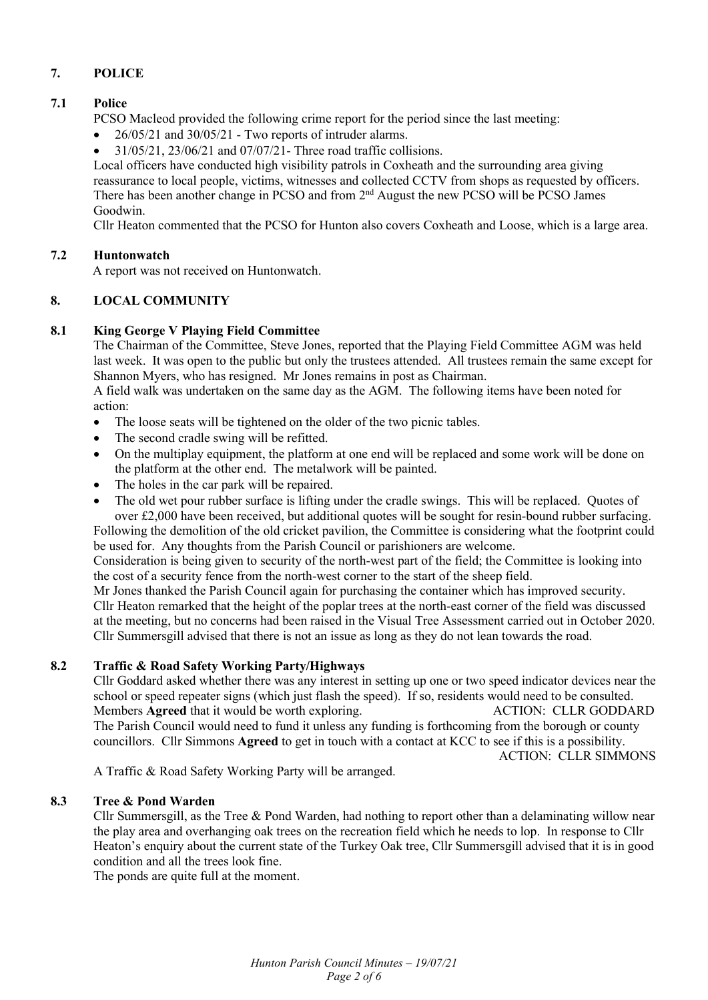# **7. POLICE**

## **7.1 Police**

PCSO Macleod provided the following crime report for the period since the last meeting:

- $\bullet$  26/05/21 and 30/05/21 Two reports of intruder alarms.
- $\bullet$  31/05/21, 23/06/21 and 07/07/21- Three road traffic collisions.

Local officers have conducted high visibility patrols in Coxheath and the surrounding area giving reassurance to local people, victims, witnesses and collected CCTV from shops as requested by officers. There has been another change in PCSO and from 2<sup>nd</sup> August the new PCSO will be PCSO James Goodwin.

Cllr Heaton commented that the PCSO for Hunton also covers Coxheath and Loose, which is a large area.

### **7.2 Huntonwatch**

A report was not received on Huntonwatch.

## **8. LOCAL COMMUNITY**

### **8.1 King George V Playing Field Committee**

The Chairman of the Committee, Steve Jones, reported that the Playing Field Committee AGM was held last week. It was open to the public but only the trustees attended. All trustees remain the same except for Shannon Myers, who has resigned. Mr Jones remains in post as Chairman.

A field walk was undertaken on the same day as the AGM. The following items have been noted for action:

- The loose seats will be tightened on the older of the two picnic tables.
- The second cradle swing will be refitted.
- On the multiplay equipment, the platform at one end will be replaced and some work will be done on the platform at the other end. The metalwork will be painted.
- The holes in the car park will be repaired.
- The old wet pour rubber surface is lifting under the cradle swings. This will be replaced. Quotes of over £2,000 have been received, but additional quotes will be sought for resin-bound rubber surfacing.

Following the demolition of the old cricket pavilion, the Committee is considering what the footprint could be used for. Any thoughts from the Parish Council or parishioners are welcome.

Consideration is being given to security of the north-west part of the field; the Committee is looking into the cost of a security fence from the north-west corner to the start of the sheep field.

Mr Jones thanked the Parish Council again for purchasing the container which has improved security. Cllr Heaton remarked that the height of the poplar trees at the north-east corner of the field was discussed at the meeting, but no concerns had been raised in the Visual Tree Assessment carried out in October 2020. Cllr Summersgill advised that there is not an issue as long as they do not lean towards the road.

#### **8.2 Traffic & Road Safety Working Party/Highways**

Cllr Goddard asked whether there was any interest in setting up one or two speed indicator devices near the school or speed repeater signs (which just flash the speed). If so, residents would need to be consulted. Members **Agreed** that it would be worth exploring. ACTION: CLLR GODDARD The Parish Council would need to fund it unless any funding is forthcoming from the borough or county councillors. Cllr Simmons **Agreed** to get in touch with a contact at KCC to see if this is a possibility.

ACTION: CLLR SIMMONS

A Traffic & Road Safety Working Party will be arranged.

#### **8.3 Tree & Pond Warden**

Cllr Summersgill, as the Tree & Pond Warden, had nothing to report other than a delaminating willow near the play area and overhanging oak trees on the recreation field which he needs to lop. In response to Cllr Heaton's enquiry about the current state of the Turkey Oak tree, Cllr Summersgill advised that it is in good condition and all the trees look fine.

The ponds are quite full at the moment.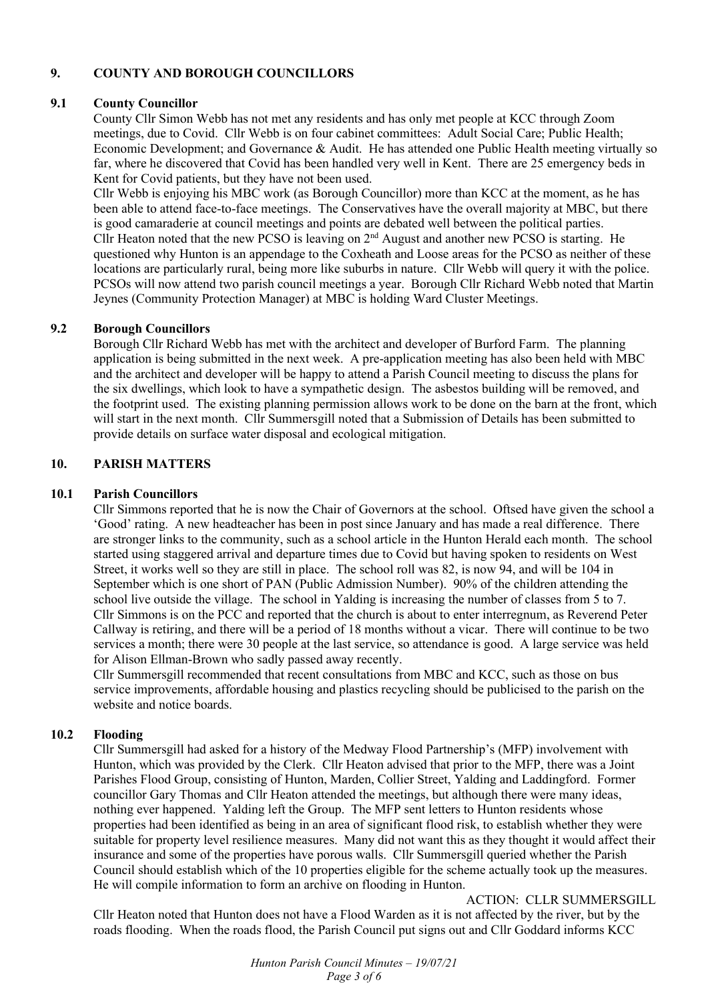# **9. COUNTY AND BOROUGH COUNCILLORS**

### **9.1 County Councillor**

County Cllr Simon Webb has not met any residents and has only met people at KCC through Zoom meetings, due to Covid. Cllr Webb is on four cabinet committees: Adult Social Care; Public Health; Economic Development; and Governance & Audit. He has attended one Public Health meeting virtually so far, where he discovered that Covid has been handled very well in Kent. There are 25 emergency beds in Kent for Covid patients, but they have not been used.

Cllr Webb is enjoying his MBC work (as Borough Councillor) more than KCC at the moment, as he has been able to attend face-to-face meetings. The Conservatives have the overall majority at MBC, but there is good camaraderie at council meetings and points are debated well between the political parties. Cllr Heaton noted that the new PCSO is leaving on  $2<sup>nd</sup>$  August and another new PCSO is starting. He questioned why Hunton is an appendage to the Coxheath and Loose areas for the PCSO as neither of these locations are particularly rural, being more like suburbs in nature. Cllr Webb will query it with the police. PCSOs will now attend two parish council meetings a year. Borough Cllr Richard Webb noted that Martin Jeynes (Community Protection Manager) at MBC is holding Ward Cluster Meetings.

### **9.2 Borough Councillors**

Borough Cllr Richard Webb has met with the architect and developer of Burford Farm. The planning application is being submitted in the next week. A pre-application meeting has also been held with MBC and the architect and developer will be happy to attend a Parish Council meeting to discuss the plans for the six dwellings, which look to have a sympathetic design. The asbestos building will be removed, and the footprint used. The existing planning permission allows work to be done on the barn at the front, which will start in the next month. Cllr Summersgill noted that a Submission of Details has been submitted to provide details on surface water disposal and ecological mitigation.

## **10. PARISH MATTERS**

### **10.1 Parish Councillors**

Cllr Simmons reported that he is now the Chair of Governors at the school. Oftsed have given the school a 'Good' rating. A new headteacher has been in post since January and has made a real difference. There are stronger links to the community, such as a school article in the Hunton Herald each month. The school started using staggered arrival and departure times due to Covid but having spoken to residents on West Street, it works well so they are still in place. The school roll was 82, is now 94, and will be 104 in September which is one short of PAN (Public Admission Number). 90% of the children attending the school live outside the village. The school in Yalding is increasing the number of classes from 5 to 7. Cllr Simmons is on the PCC and reported that the church is about to enter interregnum, as Reverend Peter Callway is retiring, and there will be a period of 18 months without a vicar. There will continue to be two services a month; there were 30 people at the last service, so attendance is good. A large service was held for Alison Ellman-Brown who sadly passed away recently.

Cllr Summersgill recommended that recent consultations from MBC and KCC, such as those on bus service improvements, affordable housing and plastics recycling should be publicised to the parish on the website and notice boards.

### **10.2 Flooding**

Cllr Summersgill had asked for a history of the Medway Flood Partnership's (MFP) involvement with Hunton, which was provided by the Clerk. Cllr Heaton advised that prior to the MFP, there was a Joint Parishes Flood Group, consisting of Hunton, Marden, Collier Street, Yalding and Laddingford. Former councillor Gary Thomas and Cllr Heaton attended the meetings, but although there were many ideas, nothing ever happened. Yalding left the Group. The MFP sent letters to Hunton residents whose properties had been identified as being in an area of significant flood risk, to establish whether they were suitable for property level resilience measures. Many did not want this as they thought it would affect their insurance and some of the properties have porous walls. Cllr Summersgill queried whether the Parish Council should establish which of the 10 properties eligible for the scheme actually took up the measures. He will compile information to form an archive on flooding in Hunton.

ACTION: CLLR SUMMERSGILL

Cllr Heaton noted that Hunton does not have a Flood Warden as it is not affected by the river, but by the roads flooding. When the roads flood, the Parish Council put signs out and Cllr Goddard informs KCC

> *Hunton Parish Council Minutes – 19/07/21 Page 3 of 6*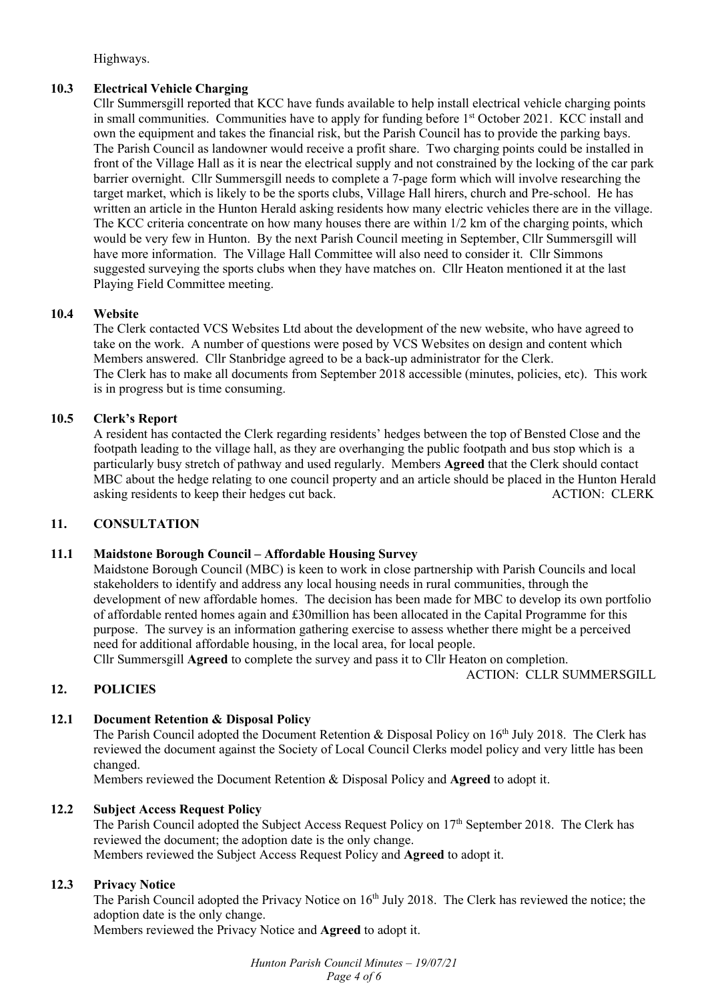Highways.

## **10.3 Electrical Vehicle Charging**

Cllr Summersgill reported that KCC have funds available to help install electrical vehicle charging points in small communities. Communities have to apply for funding before 1<sup>st</sup> October 2021. KCC install and own the equipment and takes the financial risk, but the Parish Council has to provide the parking bays. The Parish Council as landowner would receive a profit share. Two charging points could be installed in front of the Village Hall as it is near the electrical supply and not constrained by the locking of the car park barrier overnight. Cllr Summersgill needs to complete a 7-page form which will involve researching the target market, which is likely to be the sports clubs, Village Hall hirers, church and Pre-school. He has written an article in the Hunton Herald asking residents how many electric vehicles there are in the village. The KCC criteria concentrate on how many houses there are within 1/2 km of the charging points, which would be very few in Hunton. By the next Parish Council meeting in September, Cllr Summersgill will have more information. The Village Hall Committee will also need to consider it. Cllr Simmons suggested surveying the sports clubs when they have matches on. Cllr Heaton mentioned it at the last Playing Field Committee meeting.

## **10.4 Website**

The Clerk contacted VCS Websites Ltd about the development of the new website, who have agreed to take on the work. A number of questions were posed by VCS Websites on design and content which Members answered. Cllr Stanbridge agreed to be a back-up administrator for the Clerk. The Clerk has to make all documents from September 2018 accessible (minutes, policies, etc). This work is in progress but is time consuming.

## **10.5 Clerk's Report**

A resident has contacted the Clerk regarding residents' hedges between the top of Bensted Close and the footpath leading to the village hall, as they are overhanging the public footpath and bus stop which is a particularly busy stretch of pathway and used regularly. Members **Agreed** that the Clerk should contact MBC about the hedge relating to one council property and an article should be placed in the Hunton Herald asking residents to keep their hedges cut back. ACTION: CLERK

## **11. CONSULTATION**

## **11.1 Maidstone Borough Council – Affordable Housing Survey**

Maidstone Borough Council (MBC) is keen to work in close partnership with Parish Councils and local stakeholders to identify and address any local housing needs in rural communities, through the development of new affordable homes. The decision has been made for MBC to develop its own portfolio of affordable rented homes again and £30million has been allocated in the Capital Programme for this purpose. The survey is an information gathering exercise to assess whether there might be a perceived need for additional affordable housing, in the local area, for local people. Cllr Summersgill **Agreed** to complete the survey and pass it to Cllr Heaton on completion.

ACTION: CLLR SUMMERSGILL

## **12. POLICIES**

# **12.1 Document Retention & Disposal Policy**

The Parish Council adopted the Document Retention & Disposal Policy on 16<sup>th</sup> July 2018. The Clerk has reviewed the document against the Society of Local Council Clerks model policy and very little has been changed.

Members reviewed the Document Retention & Disposal Policy and **Agreed** to adopt it.

## **12.2 Subject Access Request Policy**

The Parish Council adopted the Subject Access Request Policy on 17<sup>th</sup> September 2018. The Clerk has reviewed the document; the adoption date is the only change. Members reviewed the Subject Access Request Policy and **Agreed** to adopt it.

## **12.3 Privacy Notice**

The Parish Council adopted the Privacy Notice on 16<sup>th</sup> July 2018. The Clerk has reviewed the notice; the adoption date is the only change.

Members reviewed the Privacy Notice and **Agreed** to adopt it.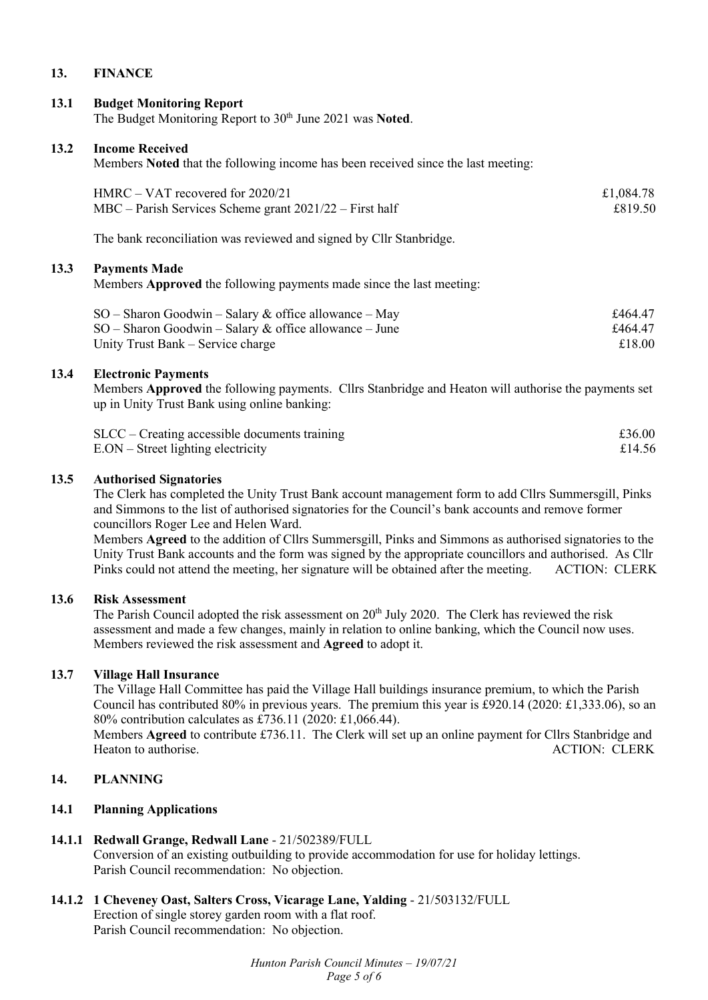### **13. FINANCE**

#### **13.1 Budget Monitoring Report**

The Budget Monitoring Report to 30<sup>th</sup> June 2021 was Noted.

#### **13.2 Income Received**

Members **Noted** that the following income has been received since the last meeting:

| $HMRC - VAT$ recovered for 2020/21                          | £1,084.78 |
|-------------------------------------------------------------|-----------|
| $MBC$ – Parish Services Scheme grant $2021/22$ – First half | £819.50   |

The bank reconciliation was reviewed and signed by Cllr Stanbridge.

#### **13.3 Payments Made**

Members **Approved** the following payments made since the last meeting:

| $SO -$ Sharon Goodwin – Salary & office allowance – May  | £464.47 |
|----------------------------------------------------------|---------|
| $SO -$ Sharon Goodwin – Salary & office allowance – June | £464.47 |
| Unity Trust Bank – Service charge                        | £18.00  |

#### **13.4 Electronic Payments**

Members **Approved** the following payments. Cllrs Stanbridge and Heaton will authorise the payments set up in Unity Trust Bank using online banking:

| $SLCC - Creating$ accessible documents training | £36.00 |
|-------------------------------------------------|--------|
| $E. ON - Street lighting electricity$           | £14.56 |

#### **13.5 Authorised Signatories**

The Clerk has completed the Unity Trust Bank account management form to add Cllrs Summersgill, Pinks and Simmons to the list of authorised signatories for the Council's bank accounts and remove former councillors Roger Lee and Helen Ward.

Members **Agreed** to the addition of Cllrs Summersgill, Pinks and Simmons as authorised signatories to the Unity Trust Bank accounts and the form was signed by the appropriate councillors and authorised. As Cllr Pinks could not attend the meeting, her signature will be obtained after the meeting. ACTION: CLERK

#### **13.6 Risk Assessment**

The Parish Council adopted the risk assessment on  $20<sup>th</sup>$  July 2020. The Clerk has reviewed the risk assessment and made a few changes, mainly in relation to online banking, which the Council now uses. Members reviewed the risk assessment and **Agreed** to adopt it.

### **13.7 Village Hall Insurance**

The Village Hall Committee has paid the Village Hall buildings insurance premium, to which the Parish Council has contributed 80% in previous years. The premium this year is £920.14 (2020: £1,333.06), so an 80% contribution calculates as £736.11 (2020: £1,066.44).

Members **Agreed** to contribute £736.11. The Clerk will set up an online payment for Cllrs Stanbridge and Heaton to authorise. ACTION: CLERK

# **14. PLANNING**

#### **14.1 Planning Applications**

### **14.1.1 Redwall Grange, Redwall Lane** - 21/502389/FULL

Conversion of an existing outbuilding to provide accommodation for use for holiday lettings. Parish Council recommendation: No objection.

**14.1.2 1 Cheveney Oast, Salters Cross, Vicarage Lane, Yalding** - 21/503132/FULL Erection of single storey garden room with a flat roof. Parish Council recommendation: No objection.